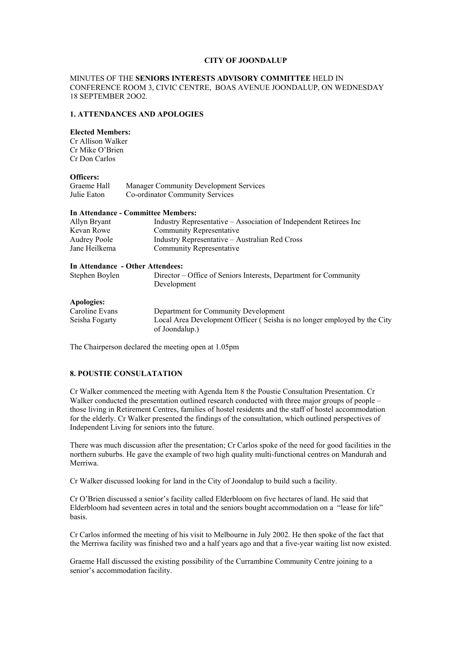### **CITY OF JOONDALUP**

## MINUTES OF THE **SENIORS INTERESTS ADVISORY COMMITTEE** HELD IN CONFERENCE ROOM 3, CIVIC CENTRE, BOAS AVENUE JOONDALUP, ON WEDNESDAY 18 SEPTEMBER 2OO2.

#### **1. ATTENDANCES AND APOLOGIES**

# **Elected Members:**

Cr Allison Walker Cr Mike O'Brien Cr Don Carlos

## **Officers:**

| Graeme Hall | <b>Manager Community Development Services</b> |
|-------------|-----------------------------------------------|
| Julie Eaton | Co-ordinator Community Services               |

#### **In Attendance - Committee Members:**

| Allyn Bryant  | Industry Representative – Association of Independent Retirees Inc |
|---------------|-------------------------------------------------------------------|
| Kevan Rowe    | <b>Community Representative</b>                                   |
| Audrey Poole  | Industry Representative – Australian Red Cross                    |
| Jane Heilkema | Community Representative                                          |

#### **In Attendance - Other Attendees:**

| Stephen Boylen | Director – Office of Seniors Interests, Department for Community<br>Development            |
|----------------|--------------------------------------------------------------------------------------------|
| Apologies:     |                                                                                            |
| Caroline Evans | Department for Community Development                                                       |
| Seisha Fogarty | Local Area Development Officer (Seisha is no longer employed by the City<br>of Joondalup.) |

The Chairperson declared the meeting open at 1.05pm

#### **8. POUSTIE CONSULATATION**

Cr Walker commenced the meeting with Agenda Item 8 the Poustie Consultation Presentation. Cr Walker conducted the presentation outlined research conducted with three major groups of people – those living in Retirement Centres, families of hostel residents and the staff of hostel accommodation for the elderly. Cr Walker presented the findings of the consultation, which outlined perspectives of Independent Living for seniors into the future.

There was much discussion after the presentation; Cr Carlos spoke of the need for good facilities in the northern suburbs. He gave the example of two high quality multi-functional centres on Mandurah and Merriwa.

Cr Walker discussed looking for land in the City of Joondalup to build such a facility.

Cr O'Brien discussed a senior's facility called Elderbloom on five hectares of land. He said that Elderbloom had seventeen acres in total and the seniors bought accommodation on a "lease for life" basis.

Cr Carlos informed the meeting of his visit to Melbourne in July 2002. He then spoke of the fact that the Merriwa facility was finished two and a half years ago and that a five-year waiting list now existed.

Graeme Hall discussed the existing possibility of the Currambine Community Centre joining to a senior's accommodation facility.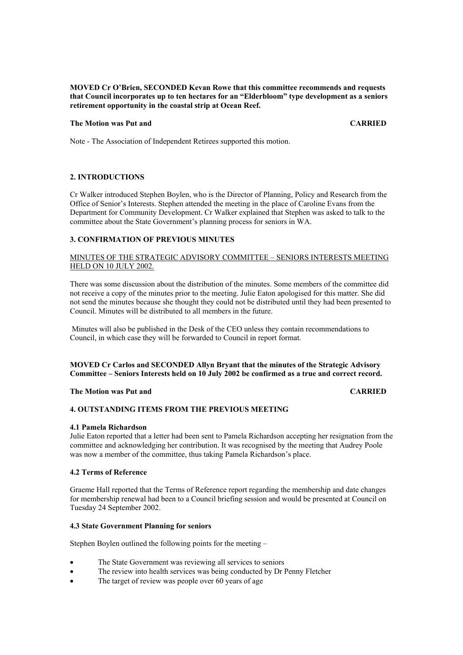**MOVED Cr O'Brien, SECONDED Kevan Rowe that this committee recommends and requests that Council incorporates up to ten hectares for an "Elderbloom" type development as a seniors retirement opportunity in the coastal strip at Ocean Reef.** 

# **The Motion was Put and CARRIED 2006 CARRIED**

Note - The Association of Independent Retirees supported this motion.

## **2. INTRODUCTIONS**

Cr Walker introduced Stephen Boylen, who is the Director of Planning, Policy and Research from the Office of Senior's Interests. Stephen attended the meeting in the place of Caroline Evans from the Department for Community Development. Cr Walker explained that Stephen was asked to talk to the committee about the State Government's planning process for seniors in WA.

### **3. CONFIRMATION OF PREVIOUS MINUTES**

### MINUTES OF THE STRATEGIC ADVISORY COMMITTEE – SENIORS INTERESTS MEETING HELD ON 10 JULY 2002.

There was some discussion about the distribution of the minutes. Some members of the committee did not receive a copy of the minutes prior to the meeting. Julie Eaton apologised for this matter. She did not send the minutes because she thought they could not be distributed until they had been presented to Council. Minutes will be distributed to all members in the future.

 Minutes will also be published in the Desk of the CEO unless they contain recommendations to Council, in which case they will be forwarded to Council in report format.

### **MOVED Cr Carlos and SECONDED Allyn Bryant that the minutes of the Strategic Advisory Committee – Seniors Interests held on 10 July 2002 be confirmed as a true and correct record.**

#### **The Motion was Put and CARRIED CARRIED**

#### **4. OUTSTANDING ITEMS FROM THE PREVIOUS MEETING**

#### **4.1 Pamela Richardson**

Julie Eaton reported that a letter had been sent to Pamela Richardson accepting her resignation from the committee and acknowledging her contribution. It was recognised by the meeting that Audrey Poole was now a member of the committee, thus taking Pamela Richardson's place.

## **4.2 Terms of Reference**

Graeme Hall reported that the Terms of Reference report regarding the membership and date changes for membership renewal had been to a Council briefing session and would be presented at Council on Tuesday 24 September 2002.

### **4.3 State Government Planning for seniors**

Stephen Boylen outlined the following points for the meeting –

- The State Government was reviewing all services to seniors
- The review into health services was being conducted by Dr Penny Fletcher
- The target of review was people over 60 years of age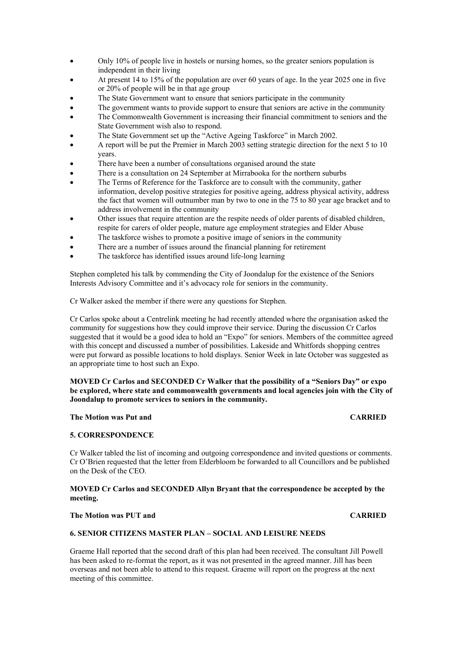- Only 10% of people live in hostels or nursing homes, so the greater seniors population is independent in their living
- At present 14 to 15% of the population are over 60 years of age. In the year 2025 one in five or 20% of people will be in that age group
- The State Government want to ensure that seniors participate in the community
- The government wants to provide support to ensure that seniors are active in the community
- The Commonwealth Government is increasing their financial commitment to seniors and the State Government wish also to respond.
- The State Government set up the "Active Ageing Taskforce" in March 2002.
- A report will be put the Premier in March 2003 setting strategic direction for the next 5 to 10 years.
- There have been a number of consultations organised around the state
- There is a consultation on 24 September at Mirrabooka for the northern suburbs
- The Terms of Reference for the Taskforce are to consult with the community, gather information, develop positive strategies for positive ageing, address physical activity, address the fact that women will outnumber man by two to one in the 75 to 80 year age bracket and to address involvement in the community
- Other issues that require attention are the respite needs of older parents of disabled children, respite for carers of older people, mature age employment strategies and Elder Abuse
- The taskforce wishes to promote a positive image of seniors in the community
- There are a number of issues around the financial planning for retirement
- The taskforce has identified issues around life-long learning

Stephen completed his talk by commending the City of Joondalup for the existence of the Seniors Interests Advisory Committee and it's advocacy role for seniors in the community.

Cr Walker asked the member if there were any questions for Stephen.

Cr Carlos spoke about a Centrelink meeting he had recently attended where the organisation asked the community for suggestions how they could improve their service. During the discussion Cr Carlos suggested that it would be a good idea to hold an "Expo" for seniors. Members of the committee agreed with this concept and discussed a number of possibilities. Lakeside and Whitfords shopping centres were put forward as possible locations to hold displays. Senior Week in late October was suggested as an appropriate time to host such an Expo.

**MOVED Cr Carlos and SECONDED Cr Walker that the possibility of a "Seniors Day" or expo be explored, where state and commonwealth governments and local agencies join with the City of Joondalup to promote services to seniors in the community.** 

### **The Motion was Put and CARRIED**

## **5. CORRESPONDENCE**

Cr Walker tabled the list of incoming and outgoing correspondence and invited questions or comments. Cr O'Brien requested that the letter from Elderbloom be forwarded to all Councillors and be published on the Desk of the CEO.

**MOVED Cr Carlos and SECONDED Allyn Bryant that the correspondence be accepted by the meeting.** 

# **The Motion was PUT and CARRIED CARRIED**

# **6. SENIOR CITIZENS MASTER PLAN – SOCIAL AND LEISURE NEEDS**

Graeme Hall reported that the second draft of this plan had been received. The consultant Jill Powell has been asked to re-format the report, as it was not presented in the agreed manner. Jill has been overseas and not been able to attend to this request. Graeme will report on the progress at the next meeting of this committee.